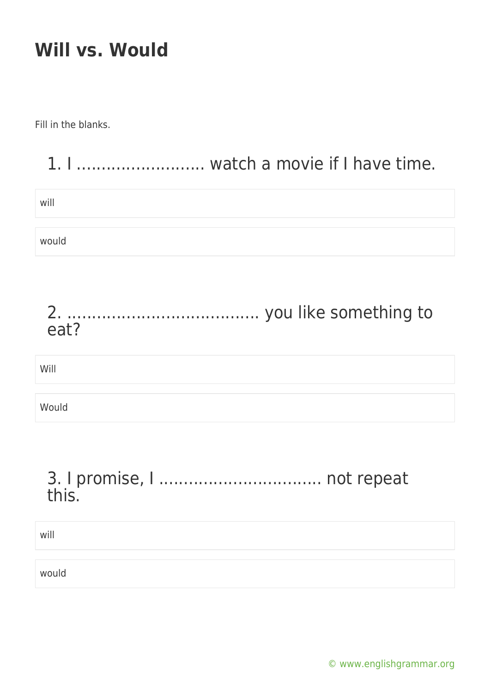Fill in the blanks.

|       | watch a movie if I have time. |
|-------|-------------------------------|
| will  |                               |
| would |                               |
|       |                               |
| eat?  |                               |
| Will  |                               |

### 3. I promise, I ................................. not repeat this.

| will  |  |  |
|-------|--|--|
|       |  |  |
| would |  |  |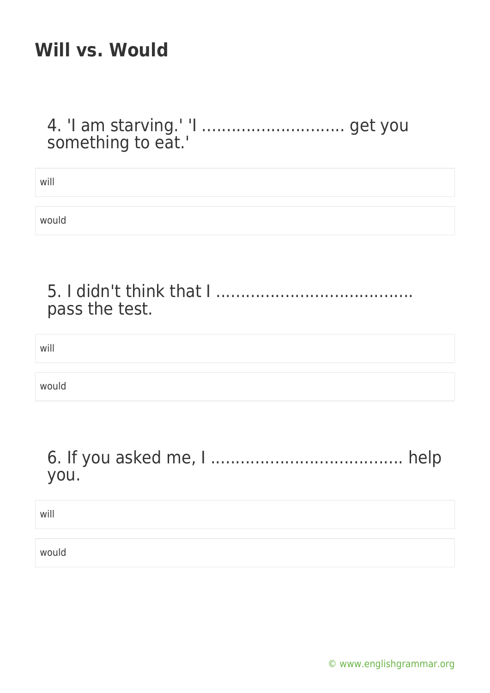#### 4. 'I am starving.' 'I ............................. get you something to eat.'

will

would

#### 5. I didn't think that I ........................................ pass the test.

will

would

#### 6. If you asked me, I ....................................... help you.

will

would

[© www.englishgrammar.org](https://www.englishgrammar.org/)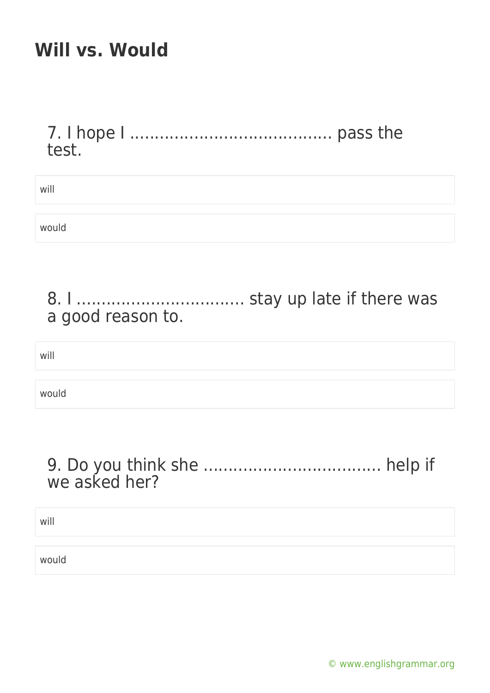7. I hope I ......................................... pass the test.

will would

### 8. I .................................. stay up late if there was a good reason to.

will

would

### 9. Do you think she .................................... help if we asked her?

will

would

[© www.englishgrammar.org](https://www.englishgrammar.org/)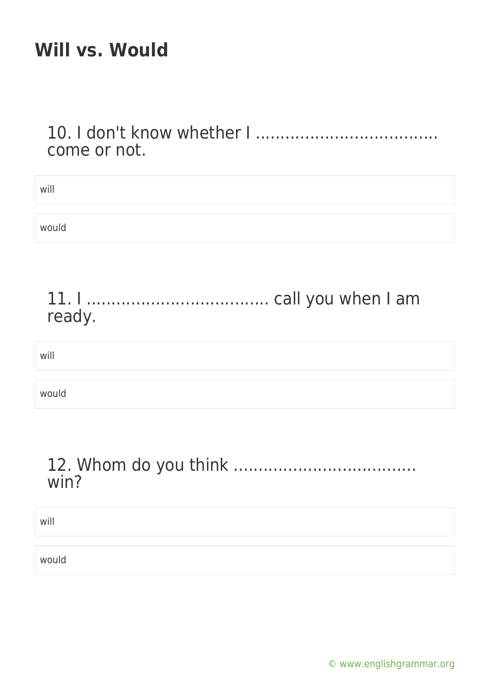10. I don't know whether I ..................................... come or not.

| will   |
|--------|
| would  |
| ready. |
| will   |
| would  |

### 12. Whom do you think ..................................... win?

will

would

[© www.englishgrammar.org](https://www.englishgrammar.org/)